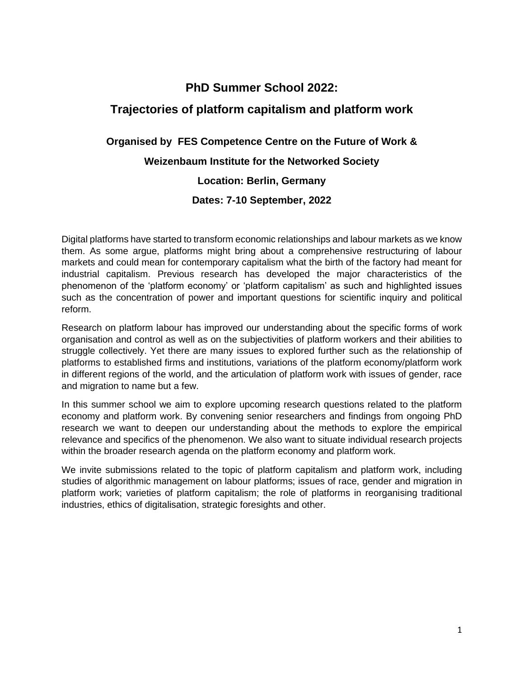# **PhD Summer School 2022:**

# **Trajectories of platform capitalism and platform work**

## **Organised by [FES Competence Centre on the Future of Work](https://futureofwork.fes.de/) &**

## **Weizenbaum Institute for the Networked Society**

## **Location: Berlin, Germany**

## **Dates: 7-10 September, 2022**

Digital platforms have started to transform economic relationships and labour markets as we know them. As some argue, platforms might bring about a comprehensive restructuring of labour markets and could mean for contemporary capitalism what the birth of the factory had meant for industrial capitalism. Previous research has developed the major characteristics of the phenomenon of the 'platform economy' or 'platform capitalism' as such and highlighted issues such as the concentration of power and important questions for scientific inquiry and political reform.

Research on platform labour has improved our understanding about the specific forms of work organisation and control as well as on the subjectivities of platform workers and their abilities to struggle collectively. Yet there are many issues to explored further such as the relationship of platforms to established firms and institutions, variations of the platform economy/platform work in different regions of the world, and the articulation of platform work with issues of gender, race and migration to name but a few.

In this summer school we aim to explore upcoming research questions related to the platform economy and platform work. By convening senior researchers and findings from ongoing PhD research we want to deepen our understanding about the methods to explore the empirical relevance and specifics of the phenomenon. We also want to situate individual research projects within the broader research agenda on the platform economy and platform work.

We invite submissions related to the topic of platform capitalism and platform work, including studies of algorithmic management on labour platforms; issues of race, gender and migration in platform work; varieties of platform capitalism; the role of platforms in reorganising traditional industries, ethics of digitalisation, strategic foresights and other.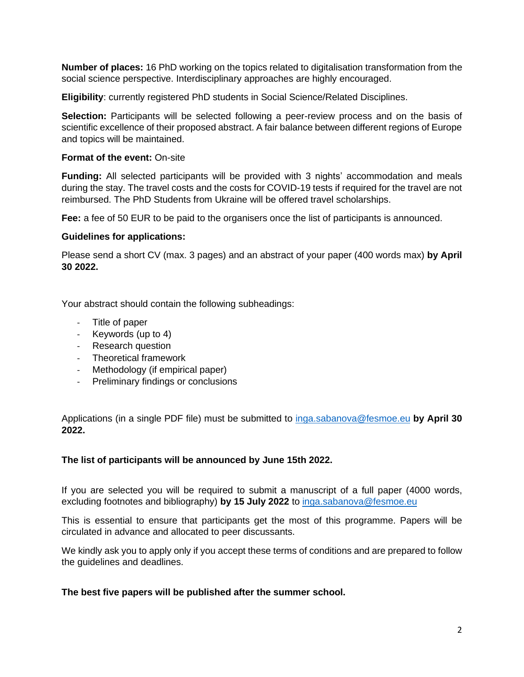**Number of places:** 16 PhD working on the topics related to digitalisation transformation from the social science perspective. Interdisciplinary approaches are highly encouraged.

**Eligibility**: currently registered PhD students in Social Science/Related Disciplines.

**Selection:** Participants will be selected following a peer-review process and on the basis of scientific excellence of their proposed abstract. A fair balance between different regions of Europe and topics will be maintained.

#### **Format of the event:** On-site

**Funding:** All selected participants will be provided with 3 nights' accommodation and meals during the stay. The travel costs and the costs for COVID-19 tests if required for the travel are not reimbursed. The PhD Students from Ukraine will be offered travel scholarships.

**Fee:** a fee of 50 EUR to be paid to the organisers once the list of participants is announced.

#### **Guidelines for applications:**

Please send a short CV (max. 3 pages) and an abstract of your paper (400 words max) **by April 30 2022.**

Your abstract should contain the following subheadings:

- Title of paper
- Keywords (up to 4)
- Research question
- Theoretical framework
- Methodology (if empirical paper)
- Preliminary findings or conclusions

Applications (in a single PDF file) must be submitted to [inga.sabanova@fesmoe.eu](mailto:inga.sabanova@fesmoe.eu) **by April 30 2022.**

### **The list of participants will be announced by June 15th 2022.**

If you are selected you will be required to submit a manuscript of a full paper (4000 words, excluding footnotes and bibliography) **by 15 July 2022** to [inga.sabanova@fesmoe.eu](mailto:inga.sabanova@fesmoe.eu)

This is essential to ensure that participants get the most of this programme. Papers will be circulated in advance and allocated to peer discussants.

We kindly ask you to apply only if you accept these terms of conditions and are prepared to follow the guidelines and deadlines.

**The best five papers will be published after the summer school.**